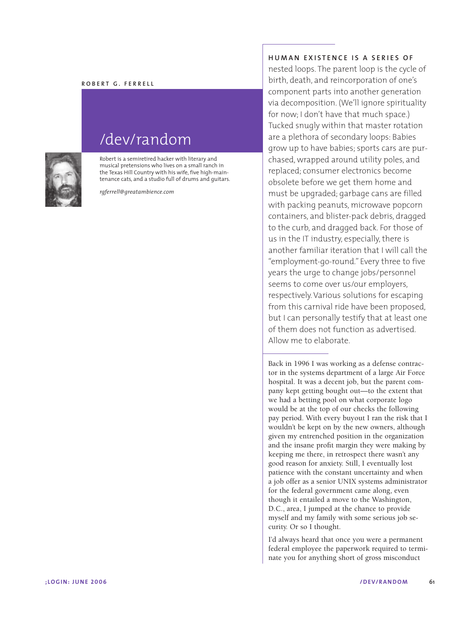## **ROBERT G. FERRELL**



## /dev/random

Robert is a semiretired hacker with literary and musical pretensions who lives on a small ranch in the Texas Hill Country with his wife, five high-maintenance cats, and a studio full of drums and guitars.

*rgferrell@greatambience.com*

## **HUMAN EXISTENCE IS A SERIES OF**

nested loops. The parent loop is the cycle of birth, death, and reincorporation of one's component parts into another generation via decomposition. (We'll ignore spirituality for now; I don't have that much space.) Tucked snugly within that master rotation are a plethora of secondary loops: Babies grow up to have babies; sports cars are purchased, wrapped around utility poles, and replaced; consumer electronics become obsolete before we get them home and must be upgraded; garbage cans are filled with packing peanuts, microwave popcorn containers, and blister-pack debris, dragged to the curb, and dragged back. For those of us in the IT industry, especially, there is another familiar iteration that I will call the "employment-go-round." Every three to five years the urge to change jobs/personnel seems to come over us/our employers, respectively. Various solutions for escaping from this carnival ride have been proposed, but I can personally testify that at least one of them does not function as advertised. Allow me to elaborate.

Back in 1996 I was working as a defense contractor in the systems department of a large Air Force hospital. It was a decent job, but the parent company kept getting bought out—to the extent that we had a betting pool on what corporate logo would be at the top of our checks the following pay period. With every buyout I ran the risk that I wouldn't be kept on by the new owners, although given my entrenched position in the organization and the insane profit margin they were making by keeping me there, in retrospect there wasn't any good reason for anxiety. Still, I eventually lost patience with the constant uncertainty and when a job offer as a senior UNIX systems administrator for the federal government came along, even though it entailed a move to the Washington, D.C., area, I jumped at the chance to provide myself and my family with some serious job security. Or so I thought.

I'd always heard that once you were a permanent federal employee the paperwork required to terminate you for anything short of gross misconduct